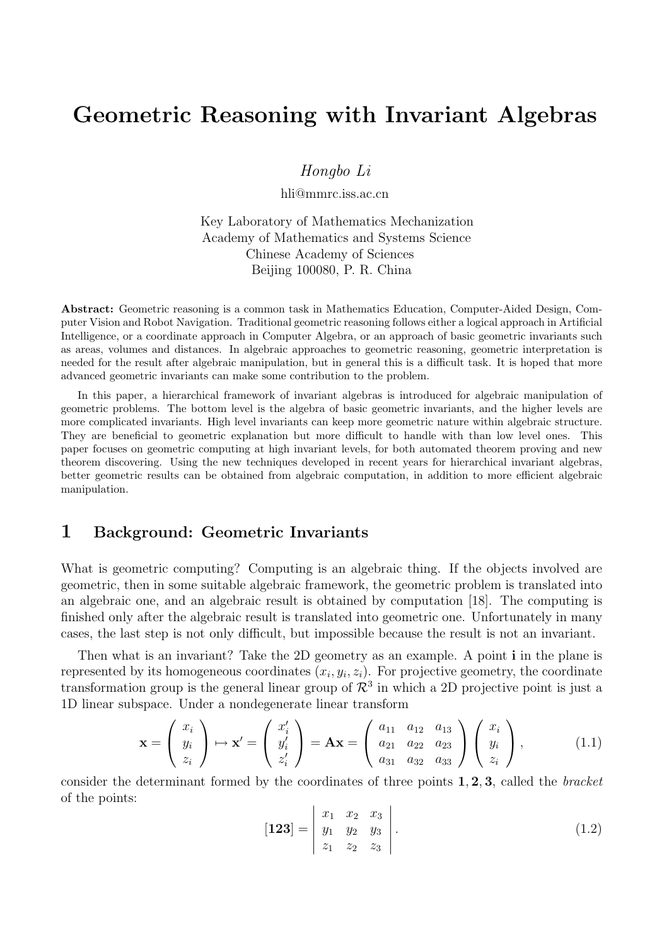# Geometric Reasoning with Invariant Algebras

Hongbo Li

hli@mmrc.iss.ac.cn

Key Laboratory of Mathematics Mechanization Academy of Mathematics and Systems Science Chinese Academy of Sciences Beijing 100080, P. R. China

Abstract: Geometric reasoning is a common task in Mathematics Education, Computer-Aided Design, Computer Vision and Robot Navigation. Traditional geometric reasoning follows either a logical approach in Artificial Intelligence, or a coordinate approach in Computer Algebra, or an approach of basic geometric invariants such as areas, volumes and distances. In algebraic approaches to geometric reasoning, geometric interpretation is needed for the result after algebraic manipulation, but in general this is a difficult task. It is hoped that more advanced geometric invariants can make some contribution to the problem.

In this paper, a hierarchical framework of invariant algebras is introduced for algebraic manipulation of geometric problems. The bottom level is the algebra of basic geometric invariants, and the higher levels are more complicated invariants. High level invariants can keep more geometric nature within algebraic structure. They are beneficial to geometric explanation but more difficult to handle with than low level ones. This paper focuses on geometric computing at high invariant levels, for both automated theorem proving and new theorem discovering. Using the new techniques developed in recent years for hierarchical invariant algebras, better geometric results can be obtained from algebraic computation, in addition to more efficient algebraic manipulation.

### 1 Background: Geometric Invariants

What is geometric computing? Computing is an algebraic thing. If the objects involved are geometric, then in some suitable algebraic framework, the geometric problem is translated into an algebraic one, and an algebraic result is obtained by computation [18]. The computing is finished only after the algebraic result is translated into geometric one. Unfortunately in many cases, the last step is not only difficult, but impossible because the result is not an invariant.

Then what is an invariant? Take the 2D geometry as an example. A point i in the plane is represented by its homogeneous coordinates  $(x_i, y_i, z_i)$ . For projective geometry, the coordinate transformation group is the general linear group of  $\mathcal{R}^3$  in which a 2D projective point is just a 1D linear subspace. Under a nondegenerate linear transform

$$
\mathbf{x} = \begin{pmatrix} x_i \\ y_i \\ z_i \end{pmatrix} \mapsto \mathbf{x}' = \begin{pmatrix} x'_i \\ y'_i \\ z'_i \end{pmatrix} = \mathbf{A}\mathbf{x} = \begin{pmatrix} a_{11} & a_{12} & a_{13} \\ a_{21} & a_{22} & a_{23} \\ a_{31} & a_{32} & a_{33} \end{pmatrix} \begin{pmatrix} x_i \\ y_i \\ z_i \end{pmatrix},
$$
(1.1)

consider the determinant formed by the coordinates of three points  $1, 2, 3$ , called the *bracket* of the points:  $\overline{a}$  $\overline{a}$ 

$$
\begin{bmatrix} 123 \end{bmatrix} = \begin{bmatrix} x_1 & x_2 & x_3 \\ y_1 & y_2 & y_3 \\ z_1 & z_2 & z_3 \end{bmatrix} . \tag{1.2}
$$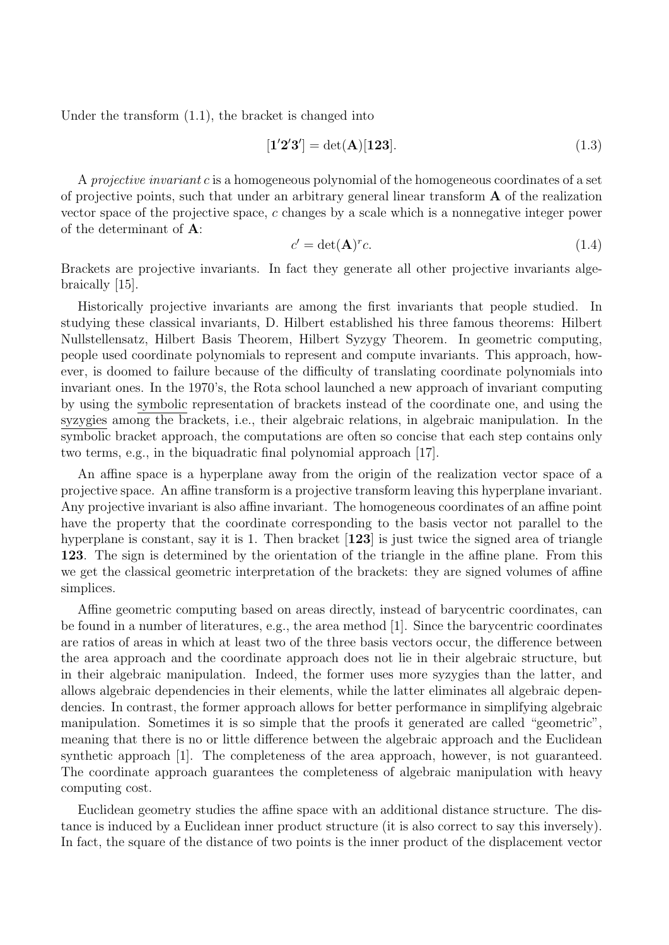Under the transform (1.1), the bracket is changed into

$$
[1'2'3'] = det(A)[123]. \t(1.3)
$$

A projective invariant c is a homogeneous polynomial of the homogeneous coordinates of a set of projective points, such that under an arbitrary general linear transform A of the realization vector space of the projective space, c changes by a scale which is a nonnegative integer power of the determinant of A:

$$
c' = \det(\mathbf{A})^r c. \tag{1.4}
$$

Brackets are projective invariants. In fact they generate all other projective invariants algebraically [15].

Historically projective invariants are among the first invariants that people studied. In studying these classical invariants, D. Hilbert established his three famous theorems: Hilbert Nullstellensatz, Hilbert Basis Theorem, Hilbert Syzygy Theorem. In geometric computing, people used coordinate polynomials to represent and compute invariants. This approach, however, is doomed to failure because of the difficulty of translating coordinate polynomials into invariant ones. In the 1970's, the Rota school launched a new approach of invariant computing by using the symbolic representation of brackets instead of the coordinate one, and using the syzygies among the brackets, i.e., their algebraic relations, in algebraic manipulation. In the symbolic bracket approach, the computations are often so concise that each step contains only two terms, e.g., in the biquadratic final polynomial approach [17].

An affine space is a hyperplane away from the origin of the realization vector space of a projective space. An affine transform is a projective transform leaving this hyperplane invariant. Any projective invariant is also affine invariant. The homogeneous coordinates of an affine point have the property that the coordinate corresponding to the basis vector not parallel to the hyperplane is constant, say it is 1. Then bracket  $[123]$  is just twice the signed area of triangle 123. The sign is determined by the orientation of the triangle in the affine plane. From this we get the classical geometric interpretation of the brackets: they are signed volumes of affine simplices.

Affine geometric computing based on areas directly, instead of barycentric coordinates, can be found in a number of literatures, e.g., the area method [1]. Since the barycentric coordinates are ratios of areas in which at least two of the three basis vectors occur, the difference between the area approach and the coordinate approach does not lie in their algebraic structure, but in their algebraic manipulation. Indeed, the former uses more syzygies than the latter, and allows algebraic dependencies in their elements, while the latter eliminates all algebraic dependencies. In contrast, the former approach allows for better performance in simplifying algebraic manipulation. Sometimes it is so simple that the proofs it generated are called "geometric", meaning that there is no or little difference between the algebraic approach and the Euclidean synthetic approach [1]. The completeness of the area approach, however, is not guaranteed. The coordinate approach guarantees the completeness of algebraic manipulation with heavy computing cost.

Euclidean geometry studies the affine space with an additional distance structure. The distance is induced by a Euclidean inner product structure (it is also correct to say this inversely). In fact, the square of the distance of two points is the inner product of the displacement vector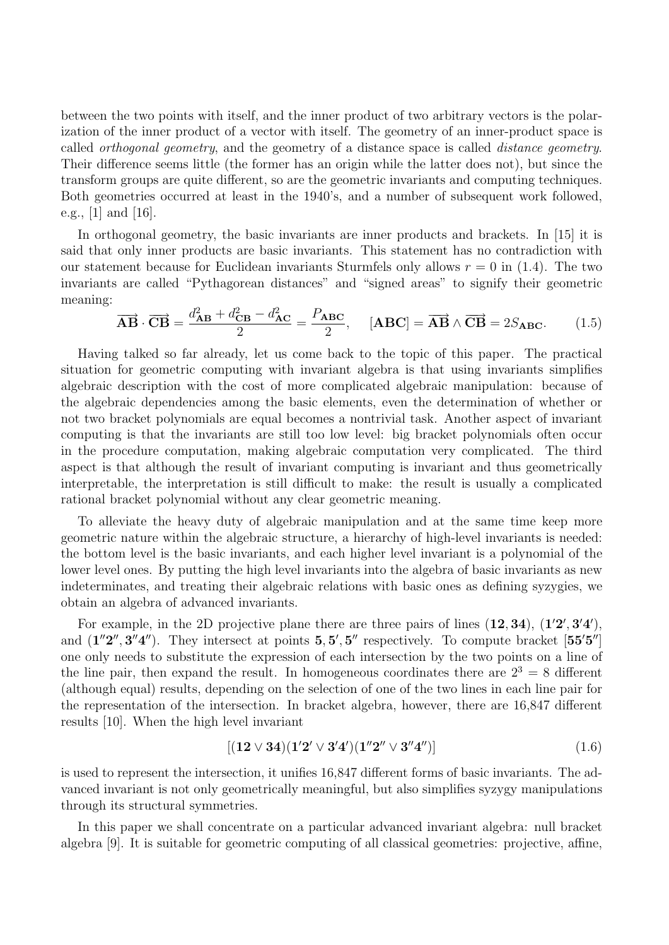between the two points with itself, and the inner product of two arbitrary vectors is the polarization of the inner product of a vector with itself. The geometry of an inner-product space is called orthogonal geometry, and the geometry of a distance space is called distance geometry. Their difference seems little (the former has an origin while the latter does not), but since the transform groups are quite different, so are the geometric invariants and computing techniques. Both geometries occurred at least in the 1940's, and a number of subsequent work followed, e.g., [1] and [16].

In orthogonal geometry, the basic invariants are inner products and brackets. In [15] it is said that only inner products are basic invariants. This statement has no contradiction with our statement because for Euclidean invariants Sturmfels only allows  $r = 0$  in (1.4). The two invariants are called "Pythagorean distances" and "signed areas" to signify their geometric meaning:

$$
\overrightarrow{\mathbf{AB}} \cdot \overrightarrow{\mathbf{CB}} = \frac{d_{\mathbf{AB}}^2 + d_{\mathbf{CB}}^2 - d_{\mathbf{AC}}^2}{2} = \frac{P_{\mathbf{ABC}}}{2}, \quad [\mathbf{ABC}] = \overrightarrow{\mathbf{AB}} \wedge \overrightarrow{\mathbf{CB}} = 2S_{\mathbf{ABC}}.
$$
 (1.5)

Having talked so far already, let us come back to the topic of this paper. The practical situation for geometric computing with invariant algebra is that using invariants simplifies algebraic description with the cost of more complicated algebraic manipulation: because of the algebraic dependencies among the basic elements, even the determination of whether or not two bracket polynomials are equal becomes a nontrivial task. Another aspect of invariant computing is that the invariants are still too low level: big bracket polynomials often occur in the procedure computation, making algebraic computation very complicated. The third aspect is that although the result of invariant computing is invariant and thus geometrically interpretable, the interpretation is still difficult to make: the result is usually a complicated rational bracket polynomial without any clear geometric meaning.

To alleviate the heavy duty of algebraic manipulation and at the same time keep more geometric nature within the algebraic structure, a hierarchy of high-level invariants is needed: the bottom level is the basic invariants, and each higher level invariant is a polynomial of the lower level ones. By putting the high level invariants into the algebra of basic invariants as new indeterminates, and treating their algebraic relations with basic ones as defining syzygies, we obtain an algebra of advanced invariants.

For example, in the 2D projective plane there are three pairs of lines  $(12, 34)$ ,  $(12', 3'4')$ , and  $(1''2'', 3''4'')$ . They intersect at points  $5, 5', 5''$  respectively. To compute bracket [55'5"] one only needs to substitute the expression of each intersection by the two points on a line of the line pair, then expand the result. In homogeneous coordinates there are  $2^3 = 8$  different (although equal) results, depending on the selection of one of the two lines in each line pair for the representation of the intersection. In bracket algebra, however, there are 16,847 different results [10]. When the high level invariant

$$
[(12 \vee 34)(1'2' \vee 3'4')(1''2'' \vee 3''4'')]
$$
\n(1.6)

is used to represent the intersection, it unifies 16,847 different forms of basic invariants. The advanced invariant is not only geometrically meaningful, but also simplifies syzygy manipulations through its structural symmetries.

In this paper we shall concentrate on a particular advanced invariant algebra: null bracket algebra [9]. It is suitable for geometric computing of all classical geometries: projective, affine,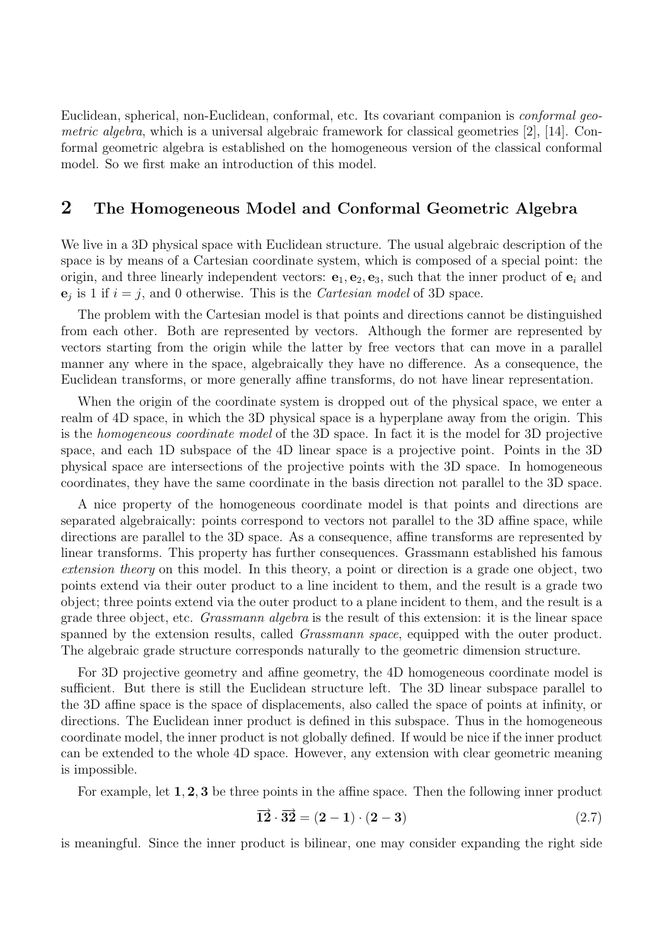Euclidean, spherical, non-Euclidean, conformal, etc. Its covariant companion is conformal geometric algebra, which is a universal algebraic framework for classical geometries [2], [14]. Conformal geometric algebra is established on the homogeneous version of the classical conformal model. So we first make an introduction of this model.

### 2 The Homogeneous Model and Conformal Geometric Algebra

We live in a 3D physical space with Euclidean structure. The usual algebraic description of the space is by means of a Cartesian coordinate system, which is composed of a special point: the origin, and three linearly independent vectors:  $e_1, e_2, e_3$ , such that the inner product of  $e_i$  and  $e_j$  is 1 if  $i = j$ , and 0 otherwise. This is the *Cartesian model* of 3D space.

The problem with the Cartesian model is that points and directions cannot be distinguished from each other. Both are represented by vectors. Although the former are represented by vectors starting from the origin while the latter by free vectors that can move in a parallel manner any where in the space, algebraically they have no difference. As a consequence, the Euclidean transforms, or more generally affine transforms, do not have linear representation.

When the origin of the coordinate system is dropped out of the physical space, we enter a realm of 4D space, in which the 3D physical space is a hyperplane away from the origin. This is the homogeneous coordinate model of the 3D space. In fact it is the model for 3D projective space, and each 1D subspace of the 4D linear space is a projective point. Points in the 3D physical space are intersections of the projective points with the 3D space. In homogeneous coordinates, they have the same coordinate in the basis direction not parallel to the 3D space.

A nice property of the homogeneous coordinate model is that points and directions are separated algebraically: points correspond to vectors not parallel to the 3D affine space, while directions are parallel to the 3D space. As a consequence, affine transforms are represented by linear transforms. This property has further consequences. Grassmann established his famous extension theory on this model. In this theory, a point or direction is a grade one object, two points extend via their outer product to a line incident to them, and the result is a grade two object; three points extend via the outer product to a plane incident to them, and the result is a grade three object, etc. *Grassmann algebra* is the result of this extension: it is the linear space spanned by the extension results, called *Grassmann space*, equipped with the outer product. The algebraic grade structure corresponds naturally to the geometric dimension structure.

For 3D projective geometry and affine geometry, the 4D homogeneous coordinate model is sufficient. But there is still the Euclidean structure left. The 3D linear subspace parallel to the 3D affine space is the space of displacements, also called the space of points at infinity, or directions. The Euclidean inner product is defined in this subspace. Thus in the homogeneous coordinate model, the inner product is not globally defined. If would be nice if the inner product can be extended to the whole 4D space. However, any extension with clear geometric meaning is impossible.

For example, let 1, 2, 3 be three points in the affine space. Then the following inner product

$$
\overrightarrow{12} \cdot \overrightarrow{32} = (2-1) \cdot (2-3) \tag{2.7}
$$

is meaningful. Since the inner product is bilinear, one may consider expanding the right side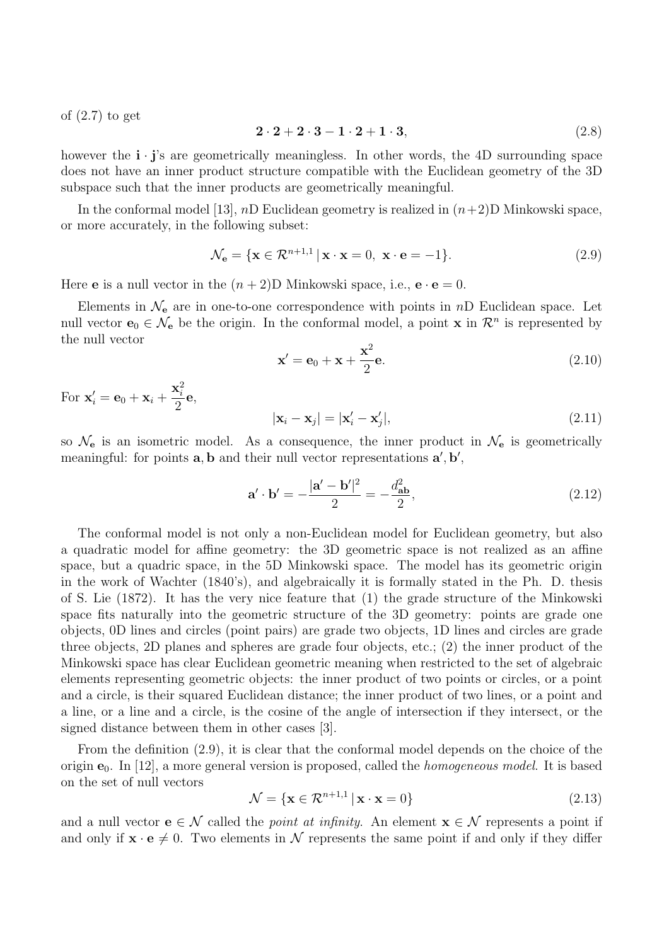of (2.7) to get

$$
2 \cdot 2 + 2 \cdot 3 - 1 \cdot 2 + 1 \cdot 3,\tag{2.8}
$$

however the  $\mathbf{i} \cdot \mathbf{j}'$ 's are geometrically meaningless. In other words, the 4D surrounding space does not have an inner product structure compatible with the Euclidean geometry of the 3D subspace such that the inner products are geometrically meaningful.

In the conformal model [13],  $nD$  Euclidean geometry is realized in  $(n+2)D$  Minkowski space, or more accurately, in the following subset:

$$
\mathcal{N}_{\mathbf{e}} = \{ \mathbf{x} \in \mathcal{R}^{n+1,1} \, | \, \mathbf{x} \cdot \mathbf{x} = 0, \, \mathbf{x} \cdot \mathbf{e} = -1 \}. \tag{2.9}
$$

Here **e** is a null vector in the  $(n+2)$ D Minkowski space, i.e.,  $\mathbf{e} \cdot \mathbf{e} = 0$ .

Elements in  $\mathcal{N}_{e}$  are in one-to-one correspondence with points in nD Euclidean space. Let null vector  $e_0 \in \mathcal{N}_e$  be the origin. In the conformal model, a point **x** in  $\mathcal{R}^n$  is represented by the null vector

$$
\mathbf{x}' = \mathbf{e}_0 + \mathbf{x} + \frac{\mathbf{x}^2}{2} \mathbf{e}.\tag{2.10}
$$

For  $\mathbf{x}'_i = \mathbf{e}_0 + \mathbf{x}_i +$  $\mathbf{x}_i^2$ 2 e,

$$
|\mathbf{x}_i - \mathbf{x}_j| = |\mathbf{x}'_i - \mathbf{x}'_j|,\tag{2.11}
$$

so  $\mathcal{N}_{e}$  is an isometric model. As a consequence, the inner product in  $\mathcal{N}_{e}$  is geometrically meaningful: for points  $\mathbf{a}, \mathbf{b}$  and their null vector representations  $\mathbf{a}', \mathbf{b}',$ 

$$
\mathbf{a}' \cdot \mathbf{b}' = -\frac{|\mathbf{a}' - \mathbf{b}'|^2}{2} = -\frac{d_{\mathbf{ab}}^2}{2},\tag{2.12}
$$

The conformal model is not only a non-Euclidean model for Euclidean geometry, but also a quadratic model for affine geometry: the 3D geometric space is not realized as an affine space, but a quadric space, in the 5D Minkowski space. The model has its geometric origin in the work of Wachter (1840's), and algebraically it is formally stated in the Ph. D. thesis of S. Lie (1872). It has the very nice feature that (1) the grade structure of the Minkowski space fits naturally into the geometric structure of the 3D geometry: points are grade one objects, 0D lines and circles (point pairs) are grade two objects, 1D lines and circles are grade three objects, 2D planes and spheres are grade four objects, etc.; (2) the inner product of the Minkowski space has clear Euclidean geometric meaning when restricted to the set of algebraic elements representing geometric objects: the inner product of two points or circles, or a point and a circle, is their squared Euclidean distance; the inner product of two lines, or a point and a line, or a line and a circle, is the cosine of the angle of intersection if they intersect, or the signed distance between them in other cases [3].

From the definition (2.9), it is clear that the conformal model depends on the choice of the origin  $e_0$ . In [12], a more general version is proposed, called the *homogeneous model*. It is based on the set of null vectors

$$
\mathcal{N} = \{ \mathbf{x} \in \mathcal{R}^{n+1,1} \, | \, \mathbf{x} \cdot \mathbf{x} = 0 \}
$$
\n
$$
(2.13)
$$

and a null vector  $e \in \mathcal{N}$  called the *point at infinity*. An element  $x \in \mathcal{N}$  represents a point if and only if  $\mathbf{x} \cdot \mathbf{e} \neq 0$ . Two elements in N represents the same point if and only if they differ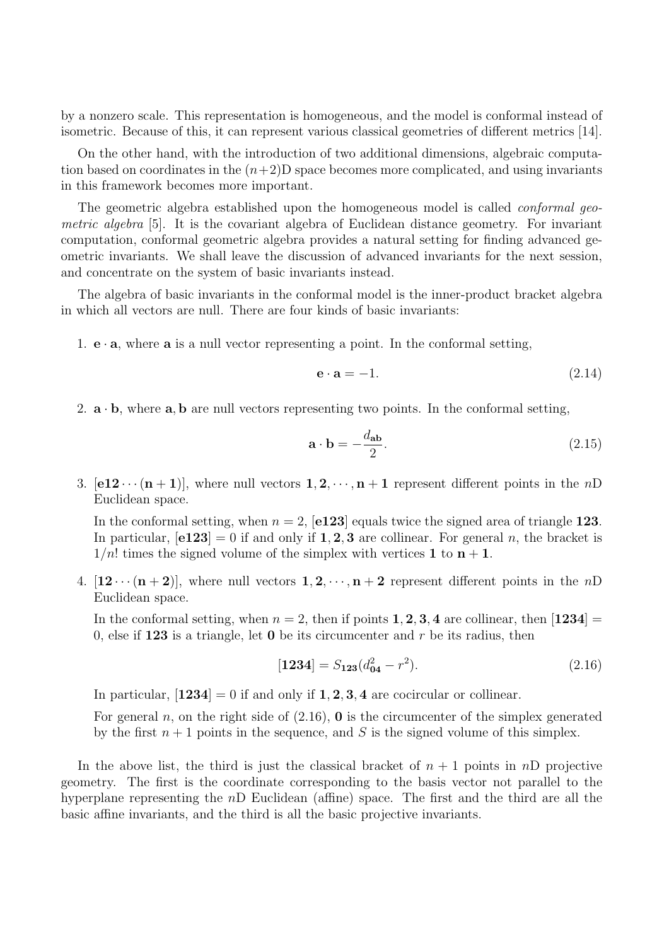by a nonzero scale. This representation is homogeneous, and the model is conformal instead of isometric. Because of this, it can represent various classical geometries of different metrics [14].

On the other hand, with the introduction of two additional dimensions, algebraic computation based on coordinates in the  $(n+2)$ D space becomes more complicated, and using invariants in this framework becomes more important.

The geometric algebra established upon the homogeneous model is called *conformal geo*metric algebra [5]. It is the covariant algebra of Euclidean distance geometry. For invariant computation, conformal geometric algebra provides a natural setting for finding advanced geometric invariants. We shall leave the discussion of advanced invariants for the next session, and concentrate on the system of basic invariants instead.

The algebra of basic invariants in the conformal model is the inner-product bracket algebra in which all vectors are null. There are four kinds of basic invariants:

1.  $\mathbf{e} \cdot \mathbf{a}$ , where **a** is a null vector representing a point. In the conformal setting,

$$
\mathbf{e} \cdot \mathbf{a} = -1. \tag{2.14}
$$

2.  $\mathbf{a} \cdot \mathbf{b}$ , where  $\mathbf{a}$ ,  $\mathbf{b}$  are null vectors representing two points. In the conformal setting,

$$
\mathbf{a} \cdot \mathbf{b} = -\frac{d_{\mathbf{ab}}}{2}.\tag{2.15}
$$

3. [e12  $\cdots$  (n + 1)], where null vectors 1, 2,  $\cdots$ , n + 1 represent different points in the nD Euclidean space.

In the conformal setting, when  $n = 2$ , [e123] equals twice the signed area of triangle 123. In particular,  $[e123] = 0$  if and only if 1, 2, 3 are collinear. For general n, the bracket is  $1/n!$  times the signed volume of the simplex with vertices 1 to  $n + 1$ .

4.  $[12 \cdots (n+2)]$ , where null vectors  $1, 2, \cdots, n+2$  represent different points in the nD Euclidean space.

In the conformal setting, when  $n = 2$ , then if points 1, 2, 3, 4 are collinear, then [1234] = 0, else if  $123$  is a triangle, let 0 be its circumcenter and r be its radius, then

$$
[1234] = S_{123}(d_{04}^2 - r^2). \tag{2.16}
$$

In particular,  $[1234] = 0$  if and only if 1, 2, 3, 4 are cocircular or collinear.

For general n, on the right side of  $(2.16)$ , **0** is the circumcenter of the simplex generated by the first  $n + 1$  points in the sequence, and S is the signed volume of this simplex.

In the above list, the third is just the classical bracket of  $n + 1$  points in nD projective geometry. The first is the coordinate corresponding to the basis vector not parallel to the hyperplane representing the nD Euclidean (affine) space. The first and the third are all the basic affine invariants, and the third is all the basic projective invariants.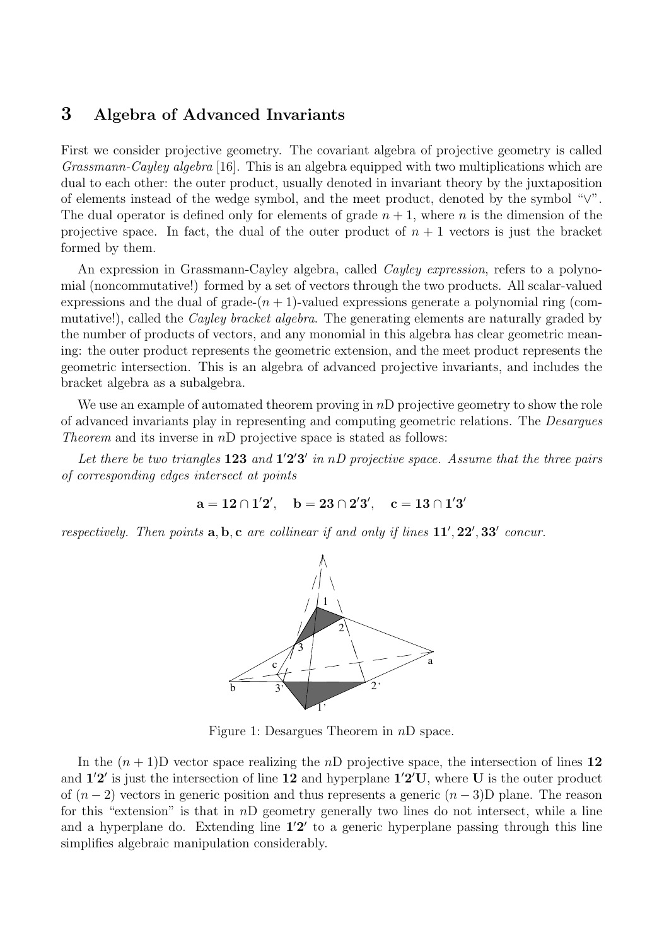## 3 Algebra of Advanced Invariants

First we consider projective geometry. The covariant algebra of projective geometry is called Grassmann-Cayley algebra [16]. This is an algebra equipped with two multiplications which are dual to each other: the outer product, usually denoted in invariant theory by the juxtaposition of elements instead of the wedge symbol, and the meet product, denoted by the symbol "∨". The dual operator is defined only for elements of grade  $n + 1$ , where n is the dimension of the projective space. In fact, the dual of the outer product of  $n + 1$  vectors is just the bracket formed by them.

An expression in Grassmann-Cayley algebra, called *Cayley expression*, refers to a polynomial (noncommutative!) formed by a set of vectors through the two products. All scalar-valued expressions and the dual of grade- $(n + 1)$ -valued expressions generate a polynomial ring (commutative!), called the *Cayley bracket algebra*. The generating elements are naturally graded by the number of products of vectors, and any monomial in this algebra has clear geometric meaning: the outer product represents the geometric extension, and the meet product represents the geometric intersection. This is an algebra of advanced projective invariants, and includes the bracket algebra as a subalgebra.

We use an example of automated theorem proving in nD projective geometry to show the role of advanced invariants play in representing and computing geometric relations. The Desargues *Theorem* and its inverse in  $nD$  projective space is stated as follows:

Let there be two triangles  $123$  and  $1'2'3'$  in nD projective space. Assume that the three pairs of corresponding edges intersect at points

$$
a = 12 \cap 1'2', \quad b = 23 \cap 2'3', \quad c = 13 \cap 1'3'
$$

respectively. Then points  $\mathbf{a}, \mathbf{b}, \mathbf{c}$  are collinear if and only if lines  $11', 22', 33'$  concur.



Figure 1: Desargues Theorem in nD space.

In the  $(n + 1)$ D vector space realizing the nD projective space, the intersection of lines 12 and  $1'2'$  is just the intersection of line 12 and hyperplane  $1'2'U$ , where U is the outer product of  $(n-2)$  vectors in generic position and thus represents a generic  $(n-3)D$  plane. The reason for this "extension" is that in  $nD$  geometry generally two lines do not intersect, while a line and a hyperplane do. Extending line  $1'2'$  to a generic hyperplane passing through this line simplifies algebraic manipulation considerably.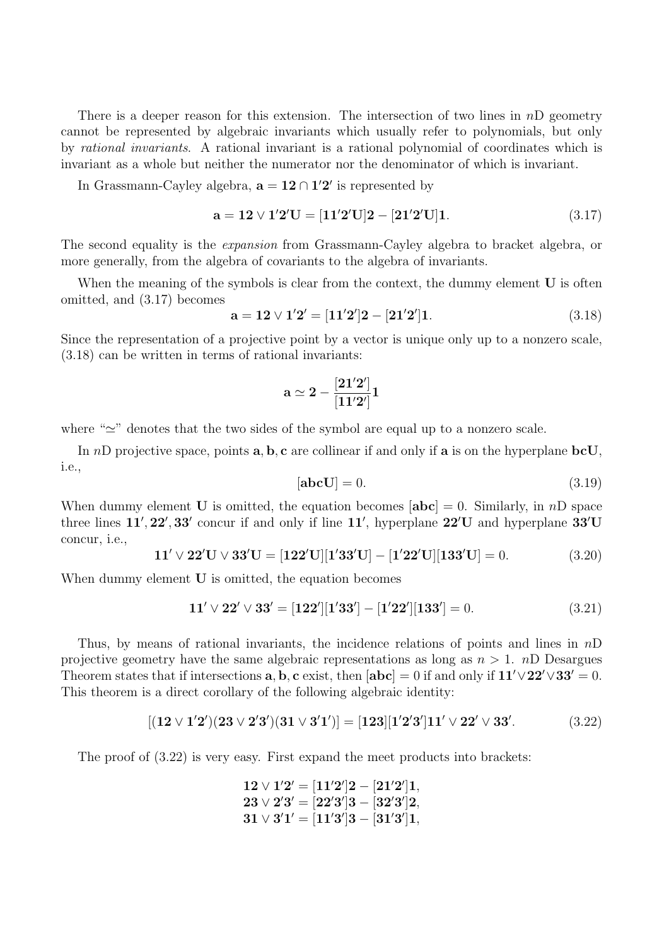There is a deeper reason for this extension. The intersection of two lines in  $nD$  geometry cannot be represented by algebraic invariants which usually refer to polynomials, but only by rational invariants. A rational invariant is a rational polynomial of coordinates which is invariant as a whole but neither the numerator nor the denominator of which is invariant.

In Grassmann-Cayley algebra,  $\mathbf{a} = 12 \cap 12'$  is represented by

$$
a = 12 \vee 1'2'U = [11'2'U]2 - [21'2'U]1.
$$
\n(3.17)

The second equality is the *expansion* from Grassmann-Cayley algebra to bracket algebra, or more generally, from the algebra of covariants to the algebra of invariants.

When the meaning of the symbols is clear from the context, the dummy element  $U$  is often omitted, and (3.17) becomes

$$
a = 12 \vee 1'2' = [11'2']2 - [21'2']1.
$$
\n(3.18)

Since the representation of a projective point by a vector is unique only up to a nonzero scale, (3.18) can be written in terms of rational invariants:

$$
\mathbf{a} \simeq 2 - \frac{[21'2']}{[11'2']} \mathbf{1}
$$

where " $\simeq$ " denotes that the two sides of the symbol are equal up to a nonzero scale.

In nD projective space, points  $\mathbf{a}, \mathbf{b}, \mathbf{c}$  are collinear if and only if  $\mathbf{a}$  is on the hyperplane  $\mathbf{bcU},$ i.e.,

$$
[\mathbf{abc}\mathbf{U}] = 0.\tag{3.19}
$$

When dummy element **U** is omitted, the equation becomes  $[\text{abc}] = 0$ . Similarly, in nD space three lines  $11', 22', 33'$  concur if and only if line  $11'$ , hyperplane  $22'U$  and hyperplane  $33'U$ concur, i.e.,

$$
11' \vee 22'U \vee 33'U = [122'U][1'33'U] - [1'22'U][133'U] = 0.
$$
 (3.20)

When dummy element **U** is omitted, the equation becomes

$$
11' \vee 22' \vee 33' = [122'][1'33'] - [1'22'][133'] = 0.
$$
\n(3.21)

Thus, by means of rational invariants, the incidence relations of points and lines in  $nD$ projective geometry have the same algebraic representations as long as  $n > 1$ . nD Desargues Theorem states that if intersections a, b, c exist, then  $[\text{abc}] = 0$  if and only if  $11' \vee 22' \vee 33' = 0$ . This theorem is a direct corollary of the following algebraic identity:

$$
[(12 \vee 1'2')(23 \vee 2'3')(31 \vee 3'1')] = [123][1'2'3']11' \vee 22' \vee 33'. \tag{3.22}
$$

The proof of (3.22) is very easy. First expand the meet products into brackets:

$$
12 \vee 1'2' = [11'2']2 - [21'2']1, \\ 23 \vee 2'3' = [22'3']3 - [32'3']2, \\ 31 \vee 3'1' = [11'3']3 - [31'3']1,
$$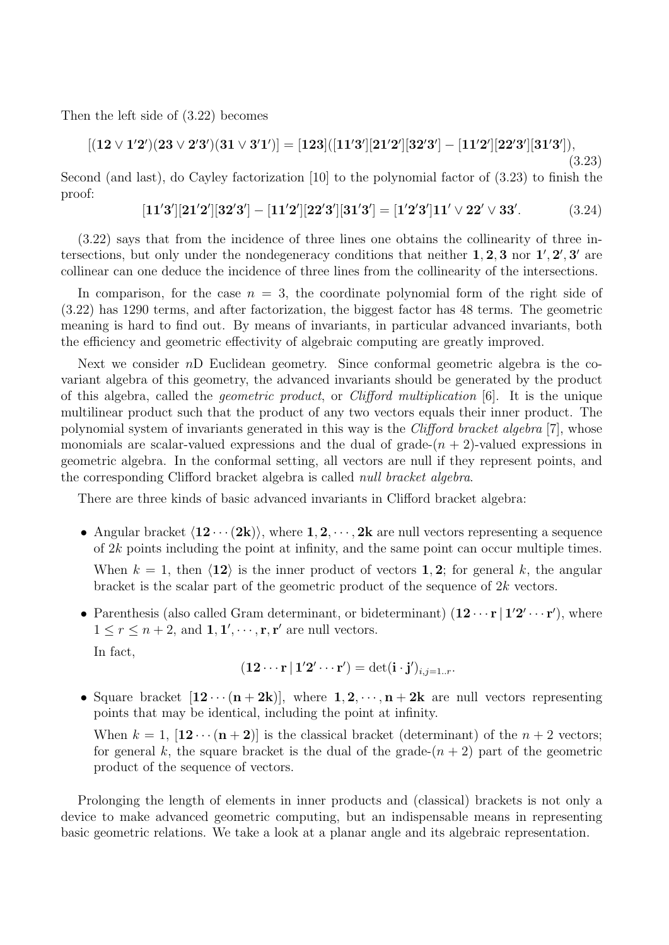Then the left side of (3.22) becomes

$$
[(12 \vee 1'2')(23 \vee 2'3')(31 \vee 3'1')] = [123]([11'3'][21'2'][32'3'] - [11'2'][22'3'][31'3']),
$$

Second (and last), do Cayley factorization [10] to the polynomial factor of (3.23) to finish the proof:

$$
[11'3'][21'2'][32'3'] - [11'2'][22'3'][31'3'] = [1'2'3']11' \vee 22' \vee 33'. \tag{3.24}
$$

(3.23)

(3.22) says that from the incidence of three lines one obtains the collinearity of three intersections, but only under the nondegeneracy conditions that neither  $1, 2, 3$  nor  $1', 2', 3'$  are collinear can one deduce the incidence of three lines from the collinearity of the intersections.

In comparison, for the case  $n = 3$ , the coordinate polynomial form of the right side of (3.22) has 1290 terms, and after factorization, the biggest factor has 48 terms. The geometric meaning is hard to find out. By means of invariants, in particular advanced invariants, both the efficiency and geometric effectivity of algebraic computing are greatly improved.

Next we consider nD Euclidean geometry. Since conformal geometric algebra is the covariant algebra of this geometry, the advanced invariants should be generated by the product of this algebra, called the geometric product, or Clifford multiplication [6]. It is the unique multilinear product such that the product of any two vectors equals their inner product. The polynomial system of invariants generated in this way is the Clifford bracket algebra [7], whose monomials are scalar-valued expressions and the dual of grade- $(n + 2)$ -valued expressions in geometric algebra. In the conformal setting, all vectors are null if they represent points, and the corresponding Clifford bracket algebra is called null bracket algebra.

There are three kinds of basic advanced invariants in Clifford bracket algebra:

- Angular bracket  $\langle 12 \cdots (2k) \rangle$ , where  $1, 2, \cdots, 2k$  are null vectors representing a sequence of  $2k$  points including the point at infinity, and the same point can occur multiple times. When  $k = 1$ , then  $\langle 12 \rangle$  is the inner product of vectors 1, 2; for general k, the angular bracket is the scalar part of the geometric product of the sequence of  $2k$  vectors.
- Parenthesis (also called Gram determinant, or bideterminant)  $(12 \cdots r | 1'2' \cdots r')$ , where  $1 \leq r \leq n+2$ , and  $1, 1', \dots, r, r'$  are null vectors.  $\overline{I}$

$$
(12\cdots \mathbf{r} | 1'\mathbf{2}'\cdots \mathbf{r}') = \det(\mathbf{i} \cdot \mathbf{j}')_{i,j=1..r}.
$$

• Square bracket  $[12\cdots(n+2k)]$ , where  $1, 2, \cdots, n+2k$  are null vectors representing points that may be identical, including the point at infinity.

When  $k = 1$ ,  $[\mathbf{12} \cdots (\mathbf{n} + \mathbf{2})]$  is the classical bracket (determinant) of the  $n + 2$  vectors; for general k, the square bracket is the dual of the grade- $(n + 2)$  part of the geometric product of the sequence of vectors.

Prolonging the length of elements in inner products and (classical) brackets is not only a device to make advanced geometric computing, but an indispensable means in representing basic geometric relations. We take a look at a planar angle and its algebraic representation.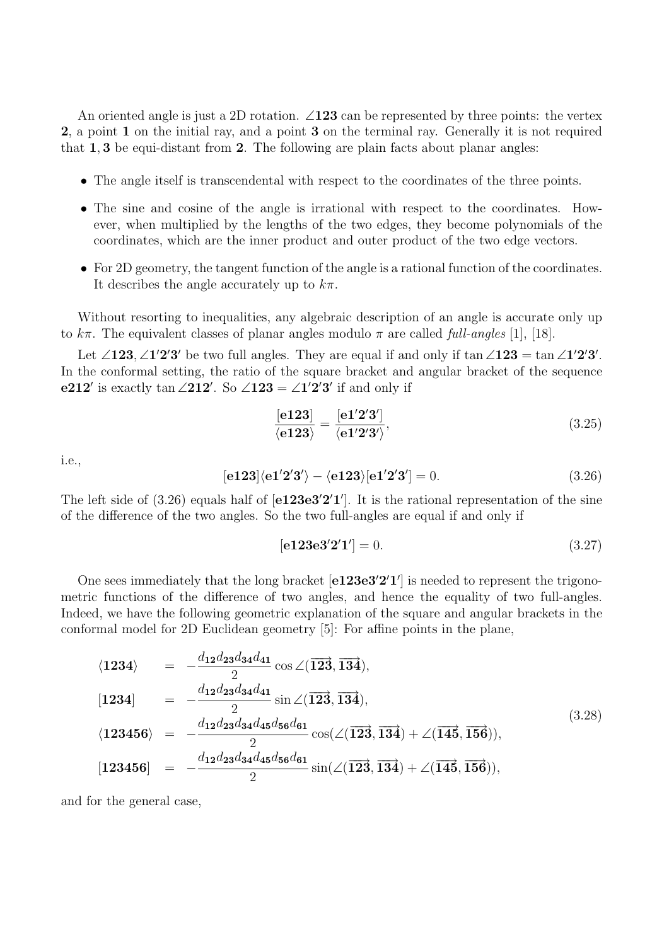An oriented angle is just a 2D rotation.  $\angle 123$  can be represented by three points: the vertex 2, a point 1 on the initial ray, and a point 3 on the terminal ray. Generally it is not required that 1, 3 be equi-distant from 2. The following are plain facts about planar angles:

- The angle itself is transcendental with respect to the coordinates of the three points.
- The sine and cosine of the angle is irrational with respect to the coordinates. However, when multiplied by the lengths of the two edges, they become polynomials of the coordinates, which are the inner product and outer product of the two edge vectors.
- For 2D geometry, the tangent function of the angle is a rational function of the coordinates. It describes the angle accurately up to  $k\pi$ .

Without resorting to inequalities, any algebraic description of an angle is accurate only up to  $k\pi$ . The equivalent classes of planar angles modulo  $\pi$  are called full-angles [1], [18].

Let  $\angle 123, \angle 1'2'3'$  be two full angles. They are equal if and only if  $\tan \angle 123 = \tan \angle 1'2'3'$ . In the conformal setting, the ratio of the square bracket and angular bracket of the sequence e212' is exactly tan  $\angle 212'$ . So  $\angle 123 = \angle 1'2'3'$  if and only if

$$
\frac{\text{[e123]}}{\text{\langle e123 \rangle}} = \frac{\text{[e1'2'3']}}{\text{\langle e1'2'3' \rangle}},\tag{3.25}
$$

i.e.,

$$
[e123]\langle e1'2'3'\rangle - \langle e123\rangle [e1'2'3'] = 0.
$$
\n(3.26)

The left side of  $(3.26)$  equals half of  $[e123e3'2'1']$ . It is the rational representation of the sine of the difference of the two angles. So the two full-angles are equal if and only if

$$
[e123e3'2'1'] = 0. \t(3.27)
$$

One sees immediately that the long bracket  $[e123e3'2'1']$  is needed to represent the trigonometric functions of the difference of two angles, and hence the equality of two full-angles. Indeed, we have the following geometric explanation of the square and angular brackets in the conformal model for 2D Euclidean geometry [5]: For affine points in the plane,

$$
\langle 1234 \rangle = -\frac{d_{12}d_{23}d_{34}d_{41}}{2}\cos\angle(\overline{123}, \overline{134}),
$$
  
\n
$$
[1234] = -\frac{d_{12}d_{23}d_{34}d_{41}}{2}\sin\angle(\overline{123}, \overline{134}),
$$
  
\n
$$
\langle 123456 \rangle = -\frac{d_{12}d_{23}d_{34}d_{45}d_{56}d_{61}}{2}\cos(\angle(\overline{123}, \overline{134}) + \angle(\overline{145}, \overline{156})),
$$
  
\n
$$
[123456] = -\frac{d_{12}d_{23}d_{34}d_{45}d_{56}d_{61}}{2}\sin(\angle(\overline{123}, \overline{134}) + \angle(\overline{145}, \overline{156})),
$$
  
\n
$$
(3.28)
$$

and for the general case,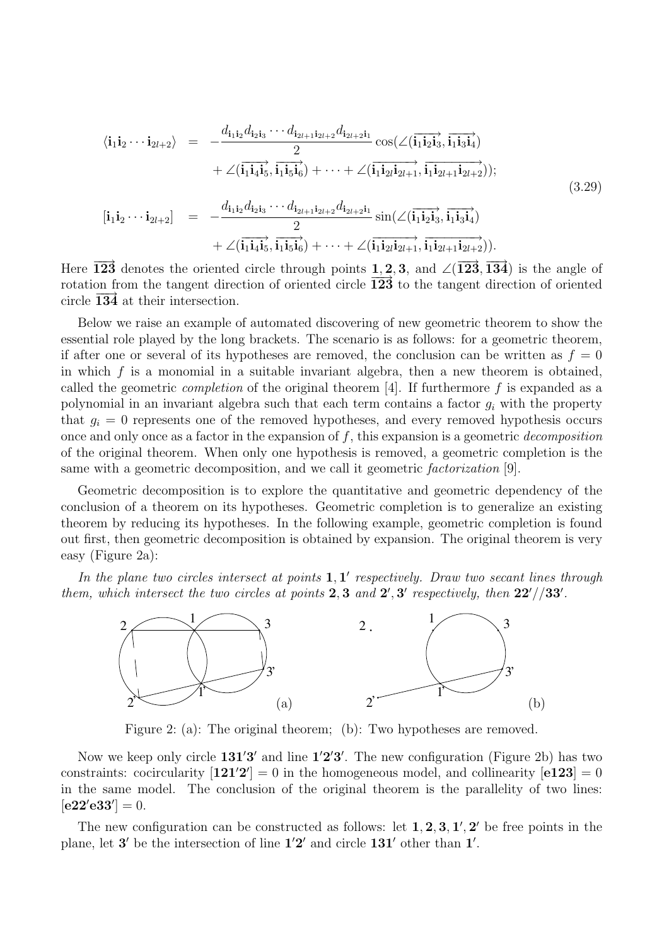$$
\langle \mathbf{i}_1 \mathbf{i}_2 \cdots \mathbf{i}_{2l+2} \rangle = -\frac{d_{\mathbf{i}_1 \mathbf{i}_2} d_{\mathbf{i}_2 \mathbf{i}_3} \cdots d_{\mathbf{i}_{2l+1} \mathbf{i}_{2l+2}} d_{\mathbf{i}_{2l+2} \mathbf{i}_1}}{2} \cos(\angle(\overline{\mathbf{i}_1 \mathbf{i}_2 \mathbf{i}_3}, \overline{\mathbf{i}_1 \mathbf{i}_3 \mathbf{i}_4})
$$
  
+  $\angle(\overline{\mathbf{i}_1 \mathbf{i}_4 \mathbf{i}_5}, \overline{\mathbf{i}_1 \mathbf{i}_5 \mathbf{i}_6}) + \cdots + \angle(\overline{\mathbf{i}_1 \mathbf{i}_{2l} \mathbf{i}_{2l+1}}, \overline{\mathbf{i}_1 \mathbf{i}_{2l+1} \mathbf{i}_{2l+2}}));$   

$$
[\mathbf{i}_1 \mathbf{i}_2 \cdots \mathbf{i}_{2l+2}] = -\frac{d_{\mathbf{i}_1 \mathbf{i}_2} d_{\mathbf{i}_2 \mathbf{i}_3} \cdots d_{\mathbf{i}_{2l+1} \mathbf{i}_{2l+2}} d_{\mathbf{i}_{2l+2} \mathbf{i}_1}}{2} \sin(\angle(\overline{\mathbf{i}_1 \mathbf{i}_2 \mathbf{i}_3}, \overline{\mathbf{i}_1 \mathbf{i}_3 \mathbf{i}_4})
$$
  
+  $\angle(\overline{\mathbf{i}_1 \mathbf{i}_4 \mathbf{i}_5}, \overline{\mathbf{i}_1 \mathbf{i}_5 \mathbf{i}_6}) + \cdots + \angle(\overline{\mathbf{i}_1 \mathbf{i}_{2l} \mathbf{i}_{2l+1}}, \overline{\mathbf{i}_1 \mathbf{i}_{2l+1} \mathbf{i}_{2l+2}})).$  (3.29)

Here  $\overline{123}$  denotes the oriented circle through points 1, 2, 3, and  $\angle(\overline{123}, \overline{134})$  is the angle of rotation from the tangent direction of oriented circle 123 to the tangent direction of oriented circle  $134$  at their intersection.

Below we raise an example of automated discovering of new geometric theorem to show the essential role played by the long brackets. The scenario is as follows: for a geometric theorem, if after one or several of its hypotheses are removed, the conclusion can be written as  $f = 0$ in which  $f$  is a monomial in a suitable invariant algebra, then a new theorem is obtained, called the geometric *completion* of the original theorem [4]. If furthermore f is expanded as a polynomial in an invariant algebra such that each term contains a factor  $g_i$  with the property that  $g_i = 0$  represents one of the removed hypotheses, and every removed hypothesis occurs once and only once as a factor in the expansion of  $f$ , this expansion is a geometric *decomposition* of the original theorem. When only one hypothesis is removed, a geometric completion is the same with a geometric decomposition, and we call it geometric factorization [9].

Geometric decomposition is to explore the quantitative and geometric dependency of the conclusion of a theorem on its hypotheses. Geometric completion is to generalize an existing theorem by reducing its hypotheses. In the following example, geometric completion is found out first, then geometric decomposition is obtained by expansion. The original theorem is very easy (Figure 2a):

In the plane two circles intersect at points  $1, 1'$  respectively. Draw two secant lines through them, which intersect the two circles at points 2, 3 and  $2', 3'$  respectively, then  $22'/33'$ .



Figure 2: (a): The original theorem; (b): Two hypotheses are removed.

Now we keep only circle  $131'3'$  and line  $1'2'3'$ . The new configuration (Figure 2b) has two constraints: cocircularity  $[121'2'] = 0$  in the homogeneous model, and collinearity  $[e123] = 0$ in the same model. The conclusion of the original theorem is the parallelity of two lines:  $[e22'e33'] = 0.$ 

The new configuration can be constructed as follows: let  $1, 2, 3, 1', 2'$  be free points in the plane, let  $3'$  be the intersection of line  $1'2'$  and circle  $131'$  other than  $1'$ .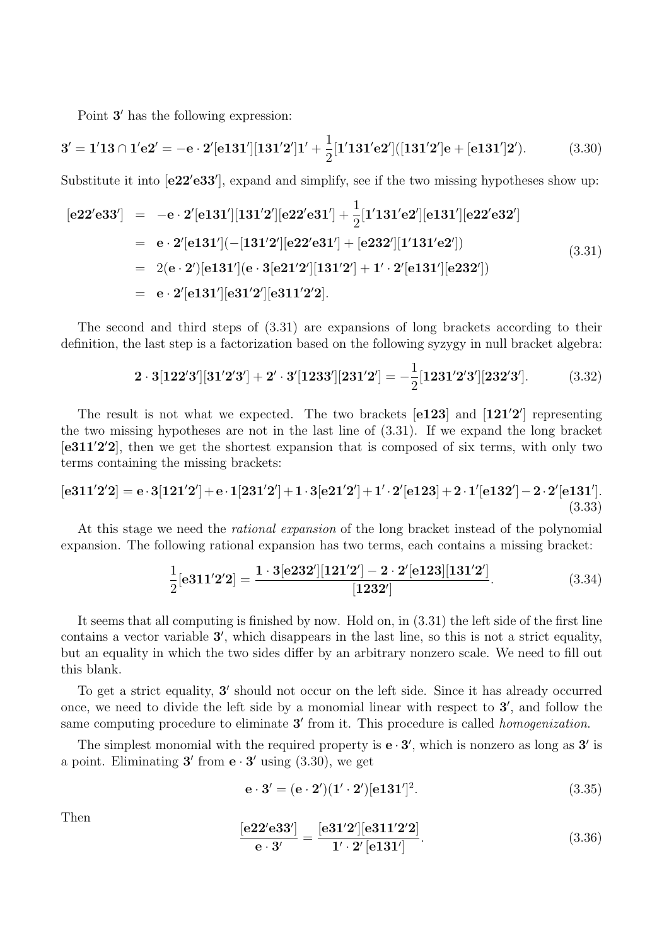Point 3' has the following expression:

$$
3' = 1'13 \cap 1'e2' = -e \cdot 2'[e131'][131'2']1' + \frac{1}{2}[1'131'e2'][131'2']e + [e131']2').
$$
 (3.30)

Substitute it into  $[e22'e33']$ , expand and simplify, see if the two missing hypotheses show up:

$$
[e22'e33'] = -e \cdot 2'[e131'][131'2'][e22'e31'] + \frac{1}{2}[1'131'e2'][e131'][e22'e32']
$$
  
\n
$$
= e \cdot 2'[e131'](-[131'2'][e22'e31'] + [e232'][1'131'e2'])
$$
  
\n
$$
= 2(e \cdot 2')[e131'][e \cdot 3[e21'2'][131'2'] + 1' \cdot 2'[e131'][e232'])
$$
  
\n
$$
= e \cdot 2'[e131'][e31'2'][e311'2'2].
$$
\n(3.31)

The second and third steps of (3.31) are expansions of long brackets according to their definition, the last step is a factorization based on the following syzygy in null bracket algebra:

$$
2 \cdot 3[122'3'][31'2'3'] + 2' \cdot 3'[1233'][231'2'] = -\frac{1}{2}[1231'2'3'][232'3'].
$$
 (3.32)

The result is not what we expected. The two brackets  $[e123]$  and  $[121'2']$  representing the two missing hypotheses are not in the last line of (3.31). If we expand the long bracket  $[e311'2'2]$ , then we get the shortest expansion that is composed of six terms, with only two terms containing the missing brackets:

$$
[\mathbf{e311'2'2}] = \mathbf{e} \cdot 3[121'2'] + \mathbf{e} \cdot 1[231'2'] + 1 \cdot 3[\mathbf{e21'2'}] + 1' \cdot 2'[\mathbf{e123}] + 2 \cdot 1'[\mathbf{e132'}] - 2 \cdot 2'[\mathbf{e131'}].
$$
\n(3.33)

At this stage we need the *rational expansion* of the long bracket instead of the polynomial expansion. The following rational expansion has two terms, each contains a missing bracket:

$$
\frac{1}{2}[\mathbf{e311'2'2}] = \frac{1 \cdot 3[\mathbf{e232'}][121'2'] - 2 \cdot 2'[\mathbf{e123}][131'2']}{[1232']}. \tag{3.34}
$$

It seems that all computing is finished by now. Hold on, in (3.31) the left side of the first line contains a vector variable 3', which disappears in the last line, so this is not a strict equality, but an equality in which the two sides differ by an arbitrary nonzero scale. We need to fill out this blank.

To get a strict equality, 3' should not occur on the left side. Since it has already occurred once, we need to divide the left side by a monomial linear with respect to  $3'$ , and follow the same computing procedure to eliminate 3' from it. This procedure is called *homogenization*.

The simplest monomial with the required property is  $e \cdot 3'$ , which is nonzero as long as  $3'$  is a point. Eliminating  $3'$  from  $e \cdot 3'$  using (3.30), we get

$$
e \cdot 3' = (e \cdot 2')(1' \cdot 2')[e131']^{2}.
$$
\n(3.35)

Then

$$
\frac{[\text{e}22'\text{e}33']}{\text{e} \cdot 3'} = \frac{[\text{e}31'2'][\text{e}311'2'2]}{1' \cdot 2'[131']}. \tag{3.36}
$$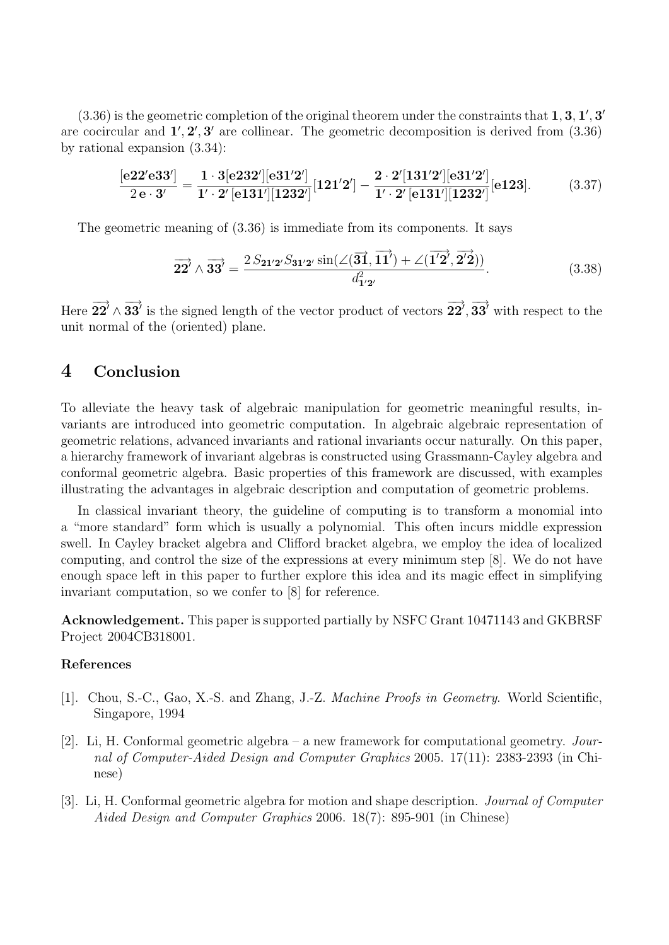$(3.36)$  is the geometric completion of the original theorem under the constraints that  $1, 3, 1', 3'$ are cocircular and  $1', 2', 3'$  are collinear. The geometric decomposition is derived from  $(3.36)$ by rational expansion (3.34):

$$
\frac{[\text{e}22'\text{e}33']}{2\,\text{e}\cdot3'} = \frac{1\cdot 3[\text{e}232'][\text{e}31'2']}{1'\cdot 2'[\text{e}131'][1232']}[121'2'] - \frac{2\cdot 2'[131'2'][\text{e}31'2']}{1'\cdot 2'[\text{e}131'][1232']}[1232]
$$
(3.37)

The geometric meaning of (3.36) is immediate from its components. It says

$$
\overrightarrow{22'} \wedge \overrightarrow{33'} = \frac{2 \, S_{21'2'} S_{31'2'} \sin(\angle(\overrightarrow{31}, \overrightarrow{11'}) + \angle(\overrightarrow{1'2'}, \overrightarrow{2'2}))}{d_{1'2'}^2}.
$$
\n(3.38)

Here  $\overrightarrow{22'} \wedge \overrightarrow{33'}$  is the signed length of the vector product of vectors  $\overrightarrow{22'}$ ,  $\overrightarrow{33'}$  with respect to the unit normal of the (oriented) plane.

### 4 Conclusion

To alleviate the heavy task of algebraic manipulation for geometric meaningful results, invariants are introduced into geometric computation. In algebraic algebraic representation of geometric relations, advanced invariants and rational invariants occur naturally. On this paper, a hierarchy framework of invariant algebras is constructed using Grassmann-Cayley algebra and conformal geometric algebra. Basic properties of this framework are discussed, with examples illustrating the advantages in algebraic description and computation of geometric problems.

In classical invariant theory, the guideline of computing is to transform a monomial into a "more standard" form which is usually a polynomial. This often incurs middle expression swell. In Cayley bracket algebra and Clifford bracket algebra, we employ the idea of localized computing, and control the size of the expressions at every minimum step [8]. We do not have enough space left in this paper to further explore this idea and its magic effect in simplifying invariant computation, so we confer to [8] for reference.

Acknowledgement. This paper is supported partially by NSFC Grant 10471143 and GKBRSF Project 2004CB318001.

#### References

- [1]. Chou, S.-C., Gao, X.-S. and Zhang, J.-Z. Machine Proofs in Geometry. World Scientific, Singapore, 1994
- [2]. Li, H. Conformal geometric algebra a new framework for computational geometry. Journal of Computer-Aided Design and Computer Graphics 2005. 17(11): 2383-2393 (in Chinese)
- [3]. Li, H. Conformal geometric algebra for motion and shape description. Journal of Computer Aided Design and Computer Graphics 2006. 18(7): 895-901 (in Chinese)